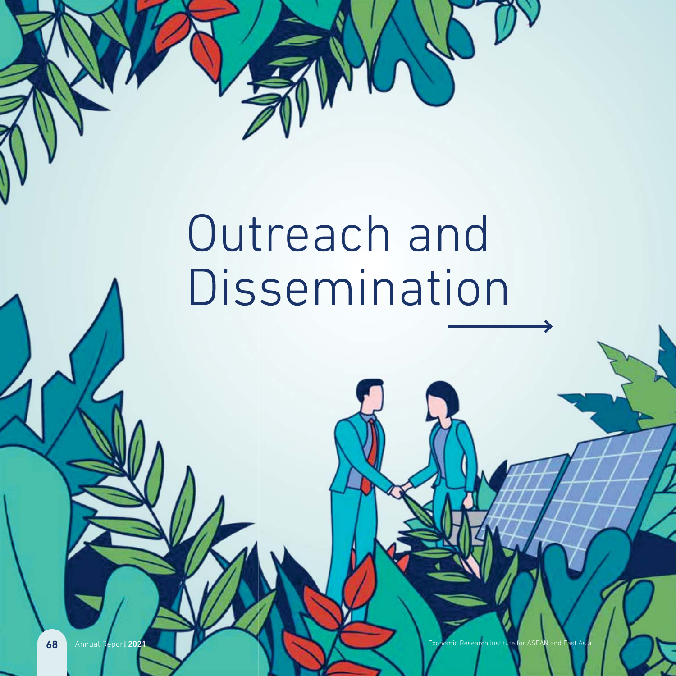

# Outreach and Dissemination

 $t 202$ 

68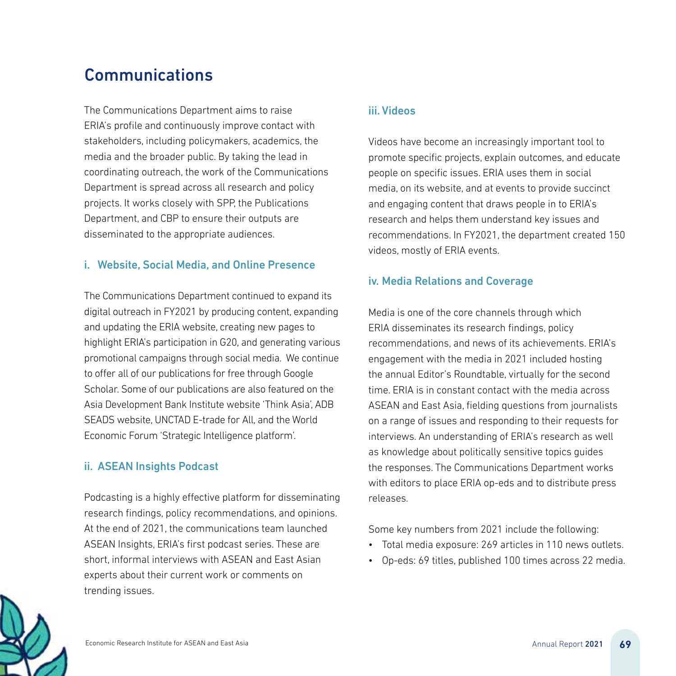# Communications

The Communications Department aims to raise ERIA's profile and continuously improve contact with stakeholders, including policymakers, academics, the media and the broader public. By taking the lead in coordinating outreach, the work of the Communications Department is spread across all research and policy projects. It works closely with SPP, the Publications Department, and CBP to ensure their outputs are disseminated to the appropriate audiences.

## i. Website, Social Media, and Online Presence

The Communications Department continued to expand its The digital outreach in FY2021 by producing content, expanding dig and updating the ERIA website, creating new pages to and highlight ERIA's participation in G20, and generating various hig promotional campaigns through social media. We continue pro to offer all of our publications for free through Google Scholar. Some of our publications are also featured on the Sch Asia Development Bank Institute website 'Think Asia', ADB Asi SEADS website, UNCTAD E-trade for All, and the World SEA Economic Forum 'Strategic Intelligence platform'. Eco

## ii. ASEAN Insights Podcast

Podcasting is a highly effective platform for disseminating Pod research findings, policy recommendations, and opinions. res At the end of 2021, the communications team launched ASEAN Insights, ERIA's first podcast series. These are AS short, informal interviews with ASEAN and East Asian sho experts about their current work or comments on exp trending issues. tre

#### iii. Videos

Videos have become an increasingly important tool to promote specific projects, explain outcomes, and educate people on specific issues. ERIA uses them in social media, on its website, and at events to provide succinct and engaging content that draws people in to ERIA's research and helps them understand key issues and recommendations. In FY2021, the department created 150 videos, mostly of ERIA events.

## iv. Media Relations and Coverage

Media is one of the core channels through which ERIA disseminates its research findings, policy recommendations, and news of its achievements. ERIA's engagement with the media in 2021 included hosting the annual Editor's Roundtable, virtually for the second time. ERIA is in constant contact with the media across ASEAN and East Asia, fielding questions from journalists on a range of issues and responding to their requests for interviews. An understanding of ERIA's research as well as knowledge about politically sensitive topics guides the responses. The Communications Department works with editors to place ERIA op-eds and to distribute press releases.

Some key numbers from 2021 include the following:

- Total media exposure: 269 articles in 110 news outlets.
- Op-eds: 69 titles, published 100 times across 22 media.

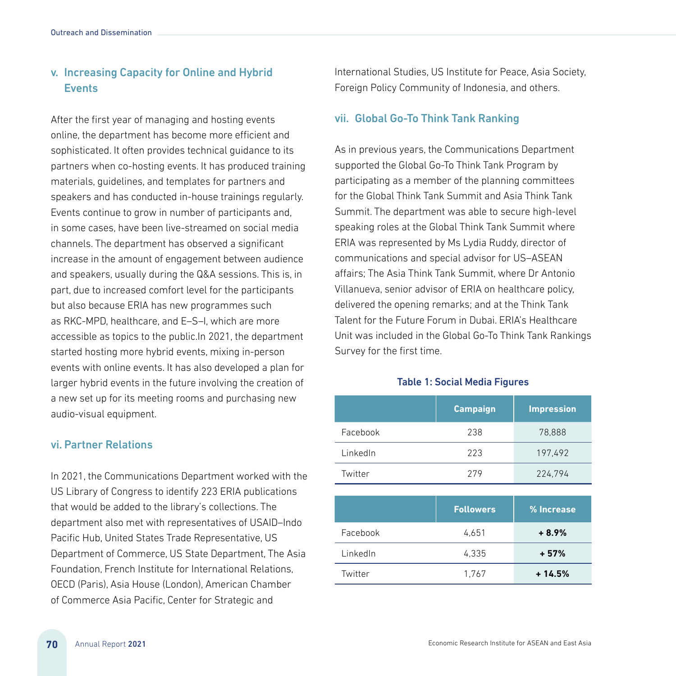## v. Increasing Capacity for Online and Hybrid **Events**

After the first year of managing and hosting events online, the department has become more efficient and sophisticated. It often provides technical guidance to its partners when co-hosting events. It has produced training materials, guidelines, and templates for partners and speakers and has conducted in-house trainings regularly. Events continue to grow in number of participants and, in some cases, have been live-streamed on social media channels. The department has observed a significant increase in the amount of engagement between audience and speakers, usually during the Q&A sessions. This is, in part, due to increased comfort level for the participants but also because ERIA has new programmes such as RKC-MPD, healthcare, and E–S–I, which are more accessible as topics to the public.In 2021, the department started hosting more hybrid events, mixing in-person events with online events. It has also developed a plan for larger hybrid events in the future involving the creation of a new set up for its meeting rooms and purchasing new audio-visual equipment.

#### vi. Partner Relations

In 2021, the Communications Department worked with the US Library of Congress to identify 223 ERIA publications that would be added to the library's collections. The department also met with representatives of USAID–Indo Pacific Hub, United States Trade Representative, US Department of Commerce, US State Department, The Asia Foundation, French Institute for International Relations, OECD (Paris), Asia House (London), American Chamber of Commerce Asia Pacific, Center for Strategic and

International Studies, US Institute for Peace, Asia Society, Foreign Policy Community of Indonesia, and others.

#### vii. Global Go-To Think Tank Ranking

As in previous years, the Communications Department supported the Global Go-To Think Tank Program by participating as a member of the planning committees for the Global Think Tank Summit and Asia Think Tank Summit. The department was able to secure high-level speaking roles at the Global Think Tank Summit where ERIA was represented by Ms Lydia Ruddy, director of communications and special advisor for US–ASEAN affairs; The Asia Think Tank Summit, where Dr Antonio Villanueva, senior advisor of ERIA on healthcare policy, delivered the opening remarks; and at the Think Tank Talent for the Future Forum in Dubai. ERIA's Healthcare Unit was included in the Global Go-To Think Tank Rankings Survey for the first time.

#### Table 1: Social Media Figures

|          | <b>Campaign</b> | <b>Impression</b> |
|----------|-----------------|-------------------|
| Facebook | 238             | 78,888            |
| LinkedIn | 223             | 197,492           |
| Twitter  | 279             | 224,794           |

|          | <b>Followers</b> | % Increase |
|----------|------------------|------------|
| Facebook | 4.651            | $+8.9%$    |
| LinkedIn | 4,335            | $+57%$     |
| Twitter  | 1,767            | $+14.5%$   |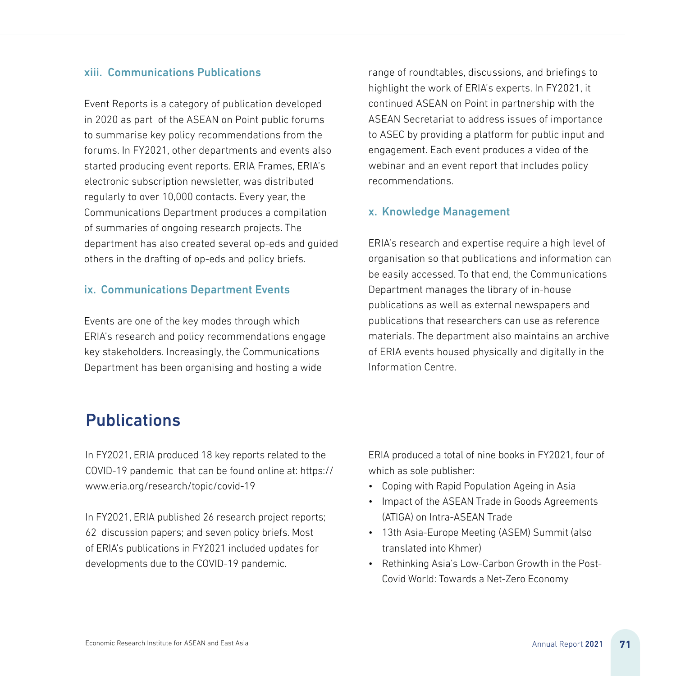#### xiii. Communications Publications

Event Reports is a category of publication developed in 2020 as part of the ASEAN on Point public forums to summarise key policy recommendations from the forums. In FY2021, other departments and events also started producing event reports. ERIA Frames, ERIA's electronic subscription newsletter, was distributed regularly to over 10,000 contacts. Every year, the Communications Department produces a compilation of summaries of ongoing research projects. The department has also created several op-eds and guided others in the drafting of op-eds and policy briefs.

#### ix. Communications Department Events

Events are one of the key modes through which ERIA's research and policy recommendations engage key stakeholders. Increasingly, the Communications Department has been organising and hosting a wide

range of roundtables, discussions, and briefings to highlight the work of ERIA's experts. In FY2021, it continued ASEAN on Point in partnership with the ASEAN Secretariat to address issues of importance to ASEC by providing a platform for public input and engagement. Each event produces a video of the webinar and an event report that includes policy recommendations.

#### x. Knowledge Management

ERIA's research and expertise require a high level of organisation so that publications and information can be easily accessed. To that end, the Communications Department manages the library of in-house publications as well as external newspapers and publications that researchers can use as reference materials. The department also maintains an archive of ERIA events housed physically and digitally in the Information Centre.

# Publications

In FY2021, ERIA produced 18 key reports related to the COVID-19 pandemic that can be found online at: https:// www.eria.org/research/topic/covid-19

In FY2021, ERIA published 26 research project reports; 62 discussion papers; and seven policy briefs. Most of ERIA's publications in FY2021 included updates for developments due to the COVID-19 pandemic.

ERIA produced a total of nine books in FY2021, four of which as sole publisher:

- Coping with Rapid Population Ageing in Asia
- Impact of the ASEAN Trade in Goods Agreements (ATIGA) on Intra-ASEAN Trade
- 13th Asia-Europe Meeting (ASEM) Summit (also translated into Khmer)
- Rethinking Asia's Low-Carbon Growth in the Post-Covid World: Towards a Net-Zero Economy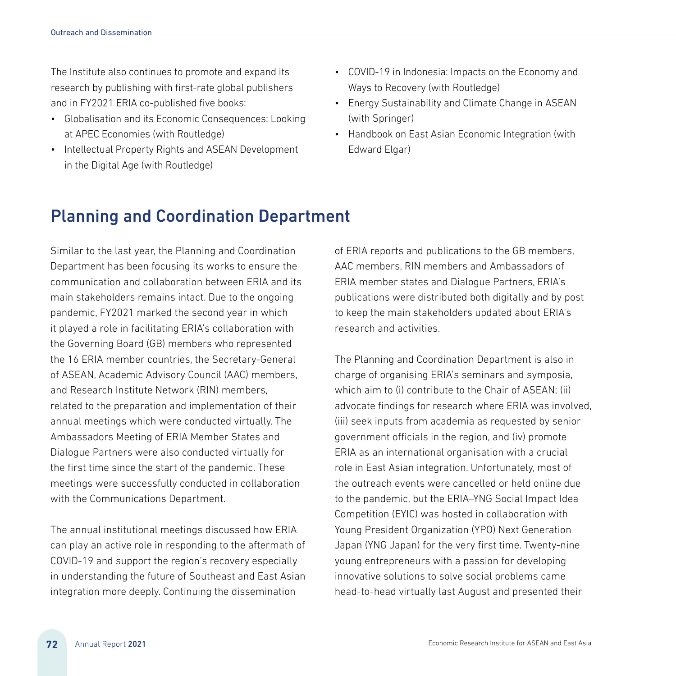The Institute also continues to promote and expand its research by publishing with first-rate global publishers and in FY2021 ERIA co-published five books:

- Globalisation and its Economic Consequences: Looking at APEC Economies (with Routledge)
- Intellectual Property Rights and ASEAN Development in the Digital Age (with Routledge)
- COVID-19 in Indonesia: Impacts on the Economy and Ways to Recovery (with Routledge)
- Energy Sustainability and Climate Change in ASEAN (with Springer)
- Handbook on East Asian Economic Integration (with Edward Elgar)

# Planning and Coordination Department

Similar to the last year, the Planning and Coordination Department has been focusing its works to ensure the communication and collaboration between ERIA and its main stakeholders remains intact. Due to the ongoing pandemic, FY2021 marked the second year in which it played a role in facilitating ERIA's collaboration with the Governing Board (GB) members who represented the 16 ERIA member countries, the Secretary-General of ASEAN, Academic Advisory Council (AAC) members, and Research Institute Network (RIN) members, related to the preparation and implementation of their annual meetings which were conducted virtually. The Ambassadors Meeting of ERIA Member States and Dialogue Partners were also conducted virtually for the first time since the start of the pandemic. These meetings were successfully conducted in collaboration with the Communications Department.

The annual institutional meetings discussed how ERIA can play an active role in responding to the aftermath of COVID-19 and support the region's recovery especially in understanding the future of Southeast and East Asian integration more deeply. Continuing the dissemination

of ERIA reports and publications to the GB members, AAC members, RIN members and Ambassadors of ERIA member states and Dialogue Partners, ERIA's publications were distributed both digitally and by post to keep the main stakeholders updated about ERIA's research and activities.

The Planning and Coordination Department is also in charge of organising ERIA's seminars and symposia, which aim to (i) contribute to the Chair of ASEAN; (ii) advocate findings for research where ERIA was involved, (iii) seek inputs from academia as requested by senior government officials in the region, and (iv) promote ERIA as an international organisation with a crucial role in East Asian integration. Unfortunately, most of the outreach events were cancelled or held online due to the pandemic, but the ERIA–YNG Social Impact Idea Competition (EYIC) was hosted in collaboration with Young President Organization (YPO) Next Generation Japan (YNG Japan) for the very first time. Twenty-nine young entrepreneurs with a passion for developing innovative solutions to solve social problems came head-to-head virtually last August and presented their